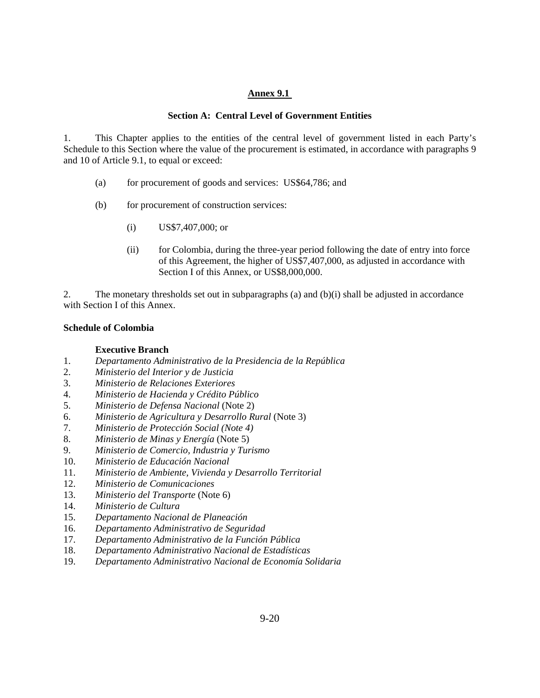## **Annex 9.1**

## **Section A: Central Level of Government Entities**

1. This Chapter applies to the entities of the central level of government listed in each Party's Schedule to this Section where the value of the procurement is estimated, in accordance with paragraphs 9 and 10 of Article 9.1, to equal or exceed:

- (a) for procurement of goods and services: US\$64,786; and
- (b) for procurement of construction services:
	- (i) US\$7,407,000; or
	- (ii) for Colombia, during the three-year period following the date of entry into force of this Agreement, the higher of US\$7,407,000, as adjusted in accordance with Section I of this Annex, or US\$8,000,000.

2. The monetary thresholds set out in subparagraphs (a) and (b)(i) shall be adjusted in accordance with Section I of this Annex.

# **Schedule of Colombia**

## **Executive Branch**

- 1. *Departamento Administrativo de la Presidencia de la República*
- 2. *Ministerio del Interior y de Justicia*
- 3. *Ministerio de Relaciones Exteriores*
- 4. *Ministerio de Hacienda y Crédito Público*
- 5. *Ministerio de Defensa Nacional* (Note 2)
- 6. *Ministerio de Agricultura y Desarrollo Rural* (Note 3)
- 7. *Ministerio de Protección Social (Note 4)*
- 8. *Ministerio de Minas y Energía* (Note 5)
- 9. *Ministerio de Comercio, Industria y Turismo*
- 10. *Ministerio de Educación Nacional*
- 11. *Ministerio de Ambiente, Vivienda y Desarrollo Territorial*
- 12. *Ministerio de Comunicaciones*
- 13. *Ministerio del Transporte* (Note 6)
- 14. *Ministerio de Cultura*
- 15. *Departamento Nacional de Planeación*
- 16. *Departamento Administrativo de Seguridad*
- 17. *Departamento Administrativo de la Función Pública*
- 18. *Departamento Administrativo Nacional de Estadísticas*
- 19. *Departamento Administrativo Nacional de Economía Solidaria*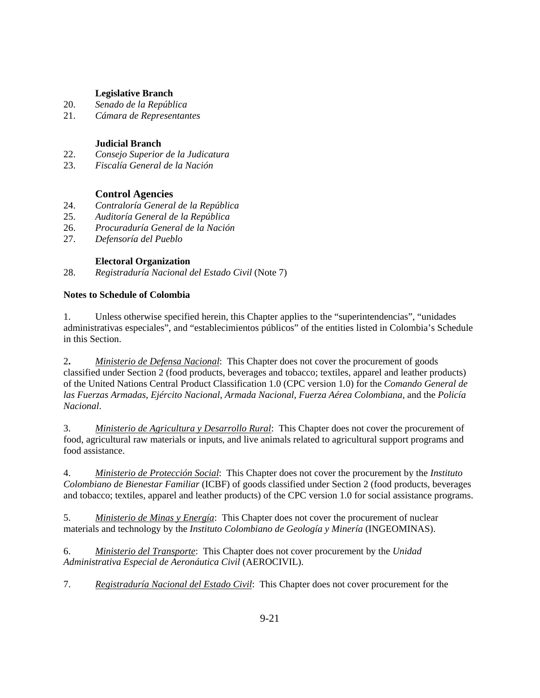## **Legislative Branch**

- 20. *Senado de la República*
- 21. *Cámara de Representantes*

## **Judicial Branch**

- 22. *Consejo Superior de la Judicatura*
- 23. *Fiscalía General de la Nación*

# **Control Agencies**

- 24. *Contraloría General de la República*
- 25. *Auditoría General de la República*
- 26. *Procuraduría General de la Nación*
- 27. *Defensoría del Pueblo*

# **Electoral Organization**

28. *Registraduría Nacional del Estado Civil* (Note 7)

# **Notes to Schedule of Colombia**

1. Unless otherwise specified herein, this Chapter applies to the "superintendencias", "unidades administrativas especiales", and "establecimientos públicos" of the entities listed in Colombia's Schedule in this Section.

2**.** *Ministerio de Defensa Nacional*: This Chapter does not cover the procurement of goods classified under Section 2 (food products, beverages and tobacco; textiles, apparel and leather products) of the United Nations Central Product Classification 1.0 (CPC version 1.0) for the *Comando General de las Fuerzas Armadas*, *Ejército Nacional*, *Armada Nacional*, *Fuerza Aérea Colombiana,* and the *Policía Nacional*.

3. *Ministerio de Agricultura y Desarrollo Rural*:This Chapter does not cover the procurement of food, agricultural raw materials or inputs, and live animals related to agricultural support programs and food assistance.

4. *Ministerio de Protección Social*: This Chapter does not cover the procurement by the *Instituto Colombiano de Bienestar Familiar* (ICBF) of goods classified under Section 2 (food products, beverages and tobacco; textiles, apparel and leather products) of the CPC version 1.0 for social assistance programs.

5. *Ministerio de Minas y Energía*: This Chapter does not cover the procurement of nuclear materials and technology by the *Instituto Colombiano de Geología y Minería* (INGEOMINAS).

6. *Ministerio del Transporte*: This Chapter does not cover procurement by the *Unidad Administrativa Especial de Aeronáutica Civil* (AEROCIVIL).

7. *Registraduría Nacional del Estado Civil*: This Chapter does not cover procurement for the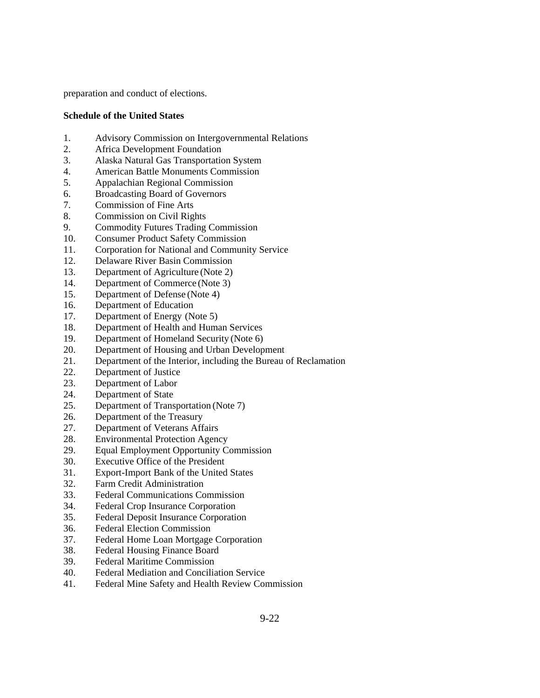preparation and conduct of elections.

## **Schedule of the United States**

- 1. Advisory Commission on Intergovernmental Relations
- 2. Africa Development Foundation
- 3. Alaska Natural Gas Transportation System
- 4. American Battle Monuments Commission
- 5. Appalachian Regional Commission
- 6. Broadcasting Board of Governors
- 7. Commission of Fine Arts
- 8. Commission on Civil Rights
- 9. Commodity Futures Trading Commission
- 10. Consumer Product Safety Commission
- 11. Corporation for National and Community Service
- 12. Delaware River Basin Commission
- 13. Department of Agriculture (Note 2)
- 14. Department of Commerce (Note 3)
- 15. Department of Defense (Note 4)
- 16. Department of Education
- 17. Department of Energy (Note 5)
- 18. Department of Health and Human Services
- 19. Department of Homeland Security (Note 6)
- 20. Department of Housing and Urban Development
- 21. Department of the Interior, including the Bureau of Reclamation
- 22. Department of Justice
- 23. Department of Labor
- 24. Department of State
- 25. Department of Transportation (Note 7)
- 26. Department of the Treasury
- 27. Department of Veterans Affairs
- 28. Environmental Protection Agency
- 29. Equal Employment Opportunity Commission
- 30. Executive Office of the President
- 31. Export-Import Bank of the United States
- 32. Farm Credit Administration
- 33. Federal Communications Commission
- 34. Federal Crop Insurance Corporation
- 35. Federal Deposit Insurance Corporation
- 36. Federal Election Commission
- 37. Federal Home Loan Mortgage Corporation
- 38. Federal Housing Finance Board
- 39. Federal Maritime Commission
- 40. Federal Mediation and Conciliation Service
- 41. Federal Mine Safety and Health Review Commission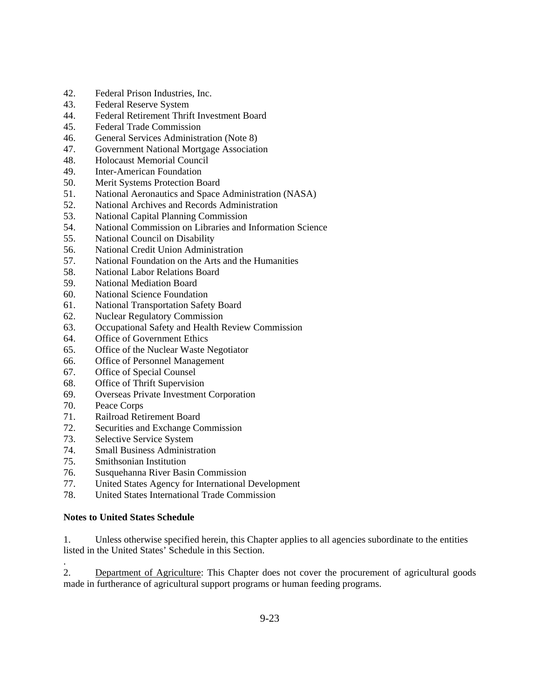- 42. Federal Prison Industries, Inc.
- 43. Federal Reserve System
- 44. Federal Retirement Thrift Investment Board
- 45. Federal Trade Commission
- 46. General Services Administration (Note 8)
- 47. Government National Mortgage Association
- 48. Holocaust Memorial Council
- 49. Inter-American Foundation
- 50. Merit Systems Protection Board
- 51. National Aeronautics and Space Administration (NASA)
- 52. National Archives and Records Administration
- 53. National Capital Planning Commission
- 54. National Commission on Libraries and Information Science
- 55. National Council on Disability
- 56. National Credit Union Administration
- 57. National Foundation on the Arts and the Humanities
- 58. National Labor Relations Board
- 59. National Mediation Board
- 60. National Science Foundation
- 61. National Transportation Safety Board
- 62. Nuclear Regulatory Commission
- 63. Occupational Safety and Health Review Commission
- 64. Office of Government Ethics
- 65. Office of the Nuclear Waste Negotiator
- 66. Office of Personnel Management
- 67. Office of Special Counsel
- 68. Office of Thrift Supervision
- 69. Overseas Private Investment Corporation
- 70. Peace Corps

.

- 71. Railroad Retirement Board
- 72. Securities and Exchange Commission
- 73. Selective Service System
- 74. Small Business Administration
- 75. Smithsonian Institution
- 76. Susquehanna River Basin Commission
- 77. United States Agency for International Development
- 78. United States International Trade Commission

# **Notes to United States Schedule**

1. Unless otherwise specified herein, this Chapter applies to all agencies subordinate to the entities listed in the United States' Schedule in this Section.

2. Department of Agriculture: This Chapter does not cover the procurement of agricultural goods made in furtherance of agricultural support programs or human feeding programs.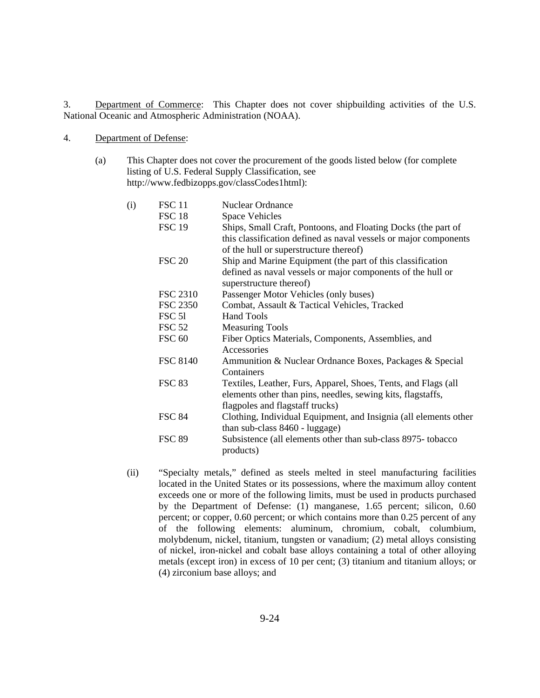3. Department of Commerce: This Chapter does not cover shipbuilding activities of the U.S. National Oceanic and Atmospheric Administration (NOAA).

#### 4. Department of Defense:

 (a) This Chapter does not cover the procurement of the goods listed below (for complete listing of U.S. Federal Supply Classification, see http://www.fedbizopps.gov/classCodes1html):

| (i) | <b>FSC 11</b><br><b>FSC 18</b><br><b>FSC 19</b> | <b>Nuclear Ordnance</b><br><b>Space Vehicles</b><br>Ships, Small Craft, Pontoons, and Floating Docks (the part of<br>this classification defined as naval vessels or major components<br>of the hull or superstructure thereof) |
|-----|-------------------------------------------------|---------------------------------------------------------------------------------------------------------------------------------------------------------------------------------------------------------------------------------|
|     | <b>FSC 20</b>                                   | Ship and Marine Equipment (the part of this classification<br>defined as naval vessels or major components of the hull or<br>superstructure thereof)                                                                            |
|     | <b>FSC 2310</b>                                 | Passenger Motor Vehicles (only buses)                                                                                                                                                                                           |
|     | <b>FSC 2350</b>                                 | Combat, Assault & Tactical Vehicles, Tracked                                                                                                                                                                                    |
|     | FSC 51                                          | <b>Hand Tools</b>                                                                                                                                                                                                               |
|     | <b>FSC 52</b>                                   | <b>Measuring Tools</b>                                                                                                                                                                                                          |
|     | <b>FSC 60</b>                                   | Fiber Optics Materials, Components, Assemblies, and<br>Accessories                                                                                                                                                              |
|     | <b>FSC 8140</b>                                 | Ammunition & Nuclear Ordnance Boxes, Packages & Special<br>Containers                                                                                                                                                           |
|     | <b>FSC 83</b>                                   | Textiles, Leather, Furs, Apparel, Shoes, Tents, and Flags (all<br>elements other than pins, needles, sewing kits, flagstaffs,<br>flagpoles and flagstaff trucks)                                                                |
|     | <b>FSC 84</b>                                   | Clothing, Individual Equipment, and Insignia (all elements other<br>than sub-class $8460$ - luggage)                                                                                                                            |
|     | <b>FSC 89</b>                                   | Subsistence (all elements other than sub-class 8975- tobacco<br>products)                                                                                                                                                       |

 (ii) "Specialty metals," defined as steels melted in steel manufacturing facilities located in the United States or its possessions, where the maximum alloy content exceeds one or more of the following limits, must be used in products purchased by the Department of Defense: (1) manganese, 1.65 percent; silicon, 0.60 percent; or copper, 0.60 percent; or which contains more than 0.25 percent of any of the following elements: aluminum, chromium, cobalt, columbium, molybdenum, nickel, titanium, tungsten or vanadium; (2) metal alloys consisting of nickel, iron-nickel and cobalt base alloys containing a total of other alloying metals (except iron) in excess of 10 per cent; (3) titanium and titanium alloys; or (4) zirconium base alloys; and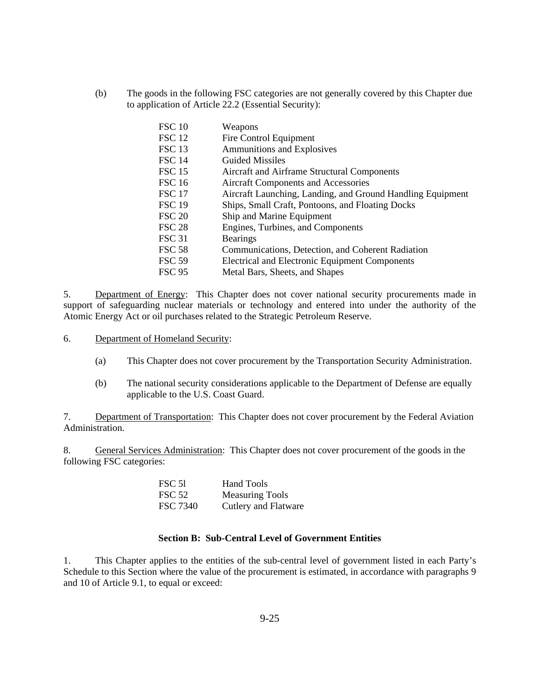(b) The goods in the following FSC categories are not generally covered by this Chapter due to application of Article 22.2 (Essential Security):

| <b>FSC 10</b>     | Weapons                                                    |
|-------------------|------------------------------------------------------------|
| FSC <sub>12</sub> | Fire Control Equipment                                     |
| FSC <sub>13</sub> | Ammunitions and Explosives                                 |
| <b>FSC 14</b>     | <b>Guided Missiles</b>                                     |
| <b>FSC 15</b>     | Aircraft and Airframe Structural Components                |
| <b>FSC 16</b>     | <b>Aircraft Components and Accessories</b>                 |
| <b>FSC 17</b>     | Aircraft Launching, Landing, and Ground Handling Equipment |
| <b>FSC 19</b>     | Ships, Small Craft, Pontoons, and Floating Docks           |
| <b>FSC 20</b>     | Ship and Marine Equipment                                  |
| <b>FSC 28</b>     | Engines, Turbines, and Components                          |
| <b>FSC 31</b>     | <b>Bearings</b>                                            |
| <b>FSC 58</b>     | Communications, Detection, and Coherent Radiation          |
| <b>FSC 59</b>     | Electrical and Electronic Equipment Components             |
| <b>FSC 95</b>     | Metal Bars, Sheets, and Shapes                             |

5. Department of Energy: This Chapter does not cover national security procurements made in support of safeguarding nuclear materials or technology and entered into under the authority of the Atomic Energy Act or oil purchases related to the Strategic Petroleum Reserve.

- 6. Department of Homeland Security:
	- (a) This Chapter does not cover procurement by the Transportation Security Administration.
	- (b) The national security considerations applicable to the Department of Defense are equally applicable to the U.S. Coast Guard.

7. Department of Transportation: This Chapter does not cover procurement by the Federal Aviation Administration.

8. General Services Administration: This Chapter does not cover procurement of the goods in the following FSC categories:

| <b>FSC 51</b> | Hand Tools             |
|---------------|------------------------|
| <b>FSC 52</b> | <b>Measuring Tools</b> |
| FSC 7340      | Cutlery and Flatware   |

#### **Section B: Sub-Central Level of Government Entities**

1. This Chapter applies to the entities of the sub-central level of government listed in each Party's Schedule to this Section where the value of the procurement is estimated, in accordance with paragraphs 9 and 10 of Article 9.1, to equal or exceed: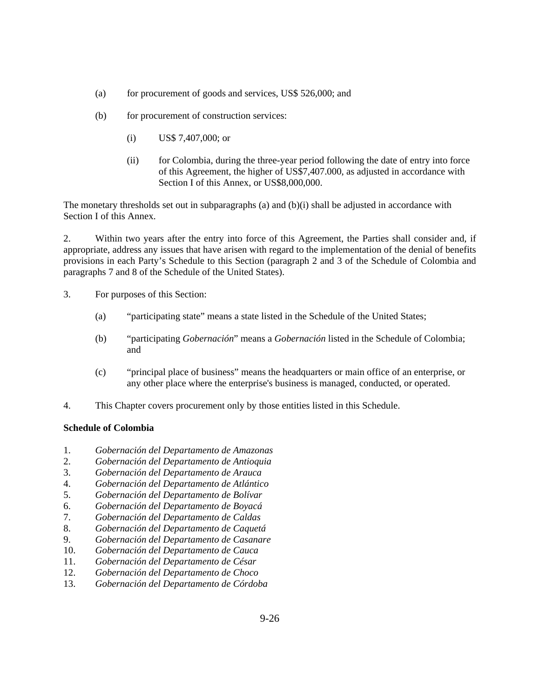- (a) for procurement of goods and services, US\$ 526,000; and
- (b) for procurement of construction services:
	- (i) US\$ 7,407,000; or
	- (ii) for Colombia, during the three-year period following the date of entry into force of this Agreement, the higher of US\$7,407.000, as adjusted in accordance with Section I of this Annex, or US\$8,000,000.

The monetary thresholds set out in subparagraphs (a) and  $(b)(i)$  shall be adjusted in accordance with Section I of this Annex.

2. Within two years after the entry into force of this Agreement, the Parties shall consider and, if appropriate, address any issues that have arisen with regard to the implementation of the denial of benefits provisions in each Party's Schedule to this Section (paragraph 2 and 3 of the Schedule of Colombia and paragraphs 7 and 8 of the Schedule of the United States).

- 3. For purposes of this Section:
	- (a) "participating state" means a state listed in the Schedule of the United States;
	- (b) "participating *Gobernación*" means a *Gobernación* listed in the Schedule of Colombia; and
	- (c) "principal place of business" means the headquarters or main office of an enterprise, or any other place where the enterprise's business is managed, conducted, or operated.
- 4. This Chapter covers procurement only by those entities listed in this Schedule.

## **Schedule of Colombia**

- 1. *Gobernación del Departamento de Amazonas*
- 2. *Gobernación del Departamento de Antioquia*
- 3. *Gobernación del Departamento de Arauca*
- 4. *Gobernación del Departamento de Atlántico*
- 5. *Gobernación del Departamento de Bolívar*
- 6. *Gobernación del Departamento de Boyacá*
- 7. *Gobernación del Departamento de Caldas*
- 8. *Gobernación del Departamento de Caquetá*
- 9. *Gobernación del Departamento de Casanare*
- 10. *Gobernación del Departamento de Cauca*
- 11. *Gobernación del Departamento de César*
- 12. *Gobernación del Departamento de Choco*
- 13. *Gobernación del Departamento de Córdoba*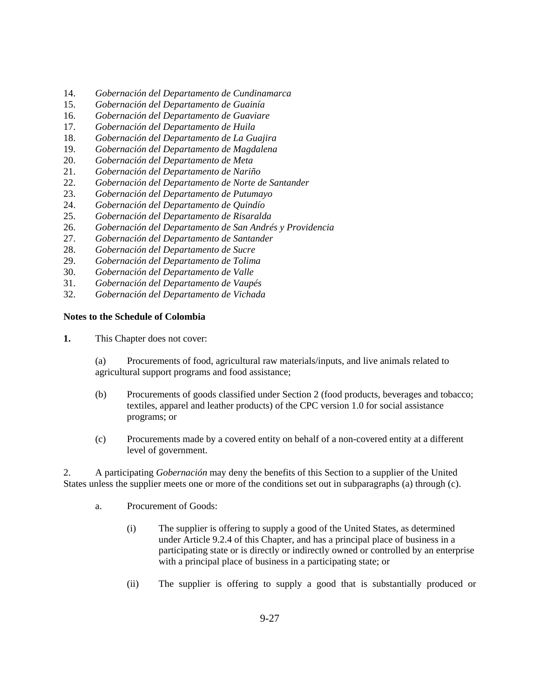- 14. *Gobernación del Departamento de Cundinamarca*
- 15. *Gobernación del Departamento de Guainía*
- 16. *Gobernación del Departamento de Guaviare*
- 17. *Gobernación del Departamento de Huila*
- 18. *Gobernación del Departamento de La Guajira*
- 19. *Gobernación del Departamento de Magdalena*
- 20. *Gobernación del Departamento de Meta*
- 21. *Gobernación del Departamento de Nariño*
- 22. *Gobernación del Departamento de Norte de Santander*
- 23. *Gobernación del Departamento de Putumayo*
- 24. *Gobernación del Departamento de Quindío*
- 25. *Gobernación del Departamento de Risaralda*
- 26. *Gobernación del Departamento de San Andrés y Providencia*
- 27. *Gobernación del Departamento de Santander*
- 28. *Gobernación del Departamento de Sucre*
- 29. *Gobernación del Departamento de Tolima*
- 30. *Gobernación del Departamento de Valle*
- 31. *Gobernación del Departamento de Vaupés*
- 32. *Gobernación del Departamento de Vichada*

#### **Notes to the Schedule of Colombia**

**1.** This Chapter does not cover:

 (a) Procurements of food, agricultural raw materials/inputs, and live animals related to agricultural support programs and food assistance;

- (b) Procurements of goods classified under Section 2 (food products, beverages and tobacco; textiles, apparel and leather products) of the CPC version 1.0 for social assistance programs; or
- (c) Procurements made by a covered entity on behalf of a non-covered entity at a different level of government.

2. A participating *Gobernación* may deny the benefits of this Section to a supplier of the United States unless the supplier meets one or more of the conditions set out in subparagraphs (a) through (c).

- a. Procurement of Goods:
	- (i) The supplier is offering to supply a good of the United States, as determined under Article 9.2.4 of this Chapter, and has a principal place of business in a participating state or is directly or indirectly owned or controlled by an enterprise with a principal place of business in a participating state; or
	- (ii) The supplier is offering to supply a good that is substantially produced or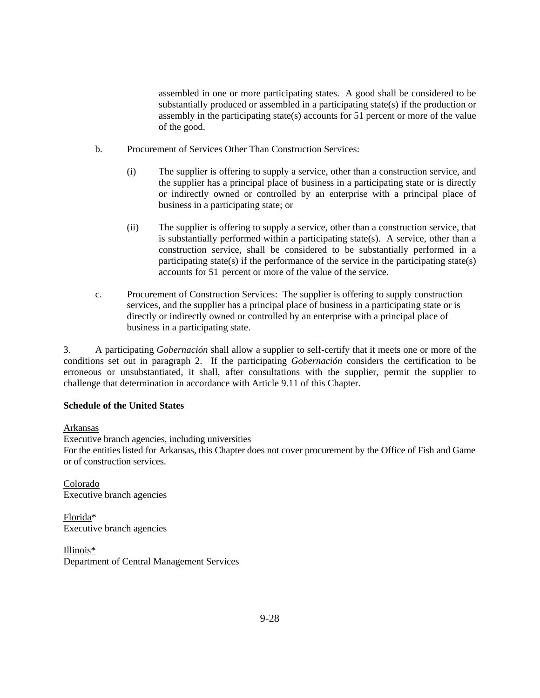assembled in one or more participating states. A good shall be considered to be substantially produced or assembled in a participating state(s) if the production or assembly in the participating state(s) accounts for 51 percent or more of the value of the good.

- b. Procurement of Services Other Than Construction Services:
	- (i) The supplier is offering to supply a service, other than a construction service, and the supplier has a principal place of business in a participating state or is directly or indirectly owned or controlled by an enterprise with a principal place of business in a participating state; or
	- (ii) The supplier is offering to supply a service, other than a construction service, that is substantially performed within a participating state(s). A service, other than a construction service, shall be considered to be substantially performed in a participating state(s) if the performance of the service in the participating state(s) accounts for 51 percent or more of the value of the service.
- c. Procurement of Construction Services: The supplier is offering to supply construction services, and the supplier has a principal place of business in a participating state or is directly or indirectly owned or controlled by an enterprise with a principal place of business in a participating state.

3. A participating *Gobernación* shall allow a supplier to self-certify that it meets one or more of the conditions set out in paragraph 2. If the participating *Gobernación* considers the certification to be erroneous or unsubstantiated, it shall, after consultations with the supplier, permit the supplier to challenge that determination in accordance with Article 9.11 of this Chapter.

# **Schedule of the United States**

## Arkansas

Executive branch agencies, including universities For the entities listed for Arkansas, this Chapter does not cover procurement by the Office of Fish and Game or of construction services.

Colorado Executive branch agencies

Florida\* Executive branch agencies

Illinois\* Department of Central Management Services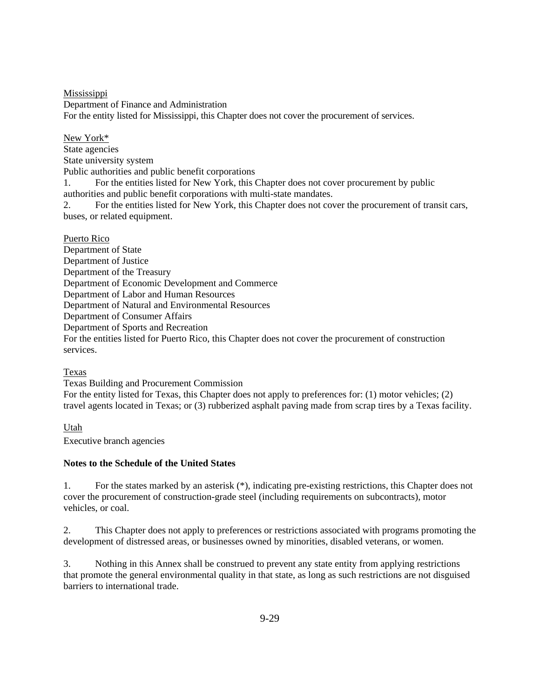Mississippi Department of Finance and Administration For the entity listed for Mississippi, this Chapter does not cover the procurement of services.

New York\* State agencies State university system Public authorities and public benefit corporations 1. For the entities listed for New York, this Chapter does not cover procurement by public authorities and public benefit corporations with multi-state mandates.

2. For the entities listed for New York, this Chapter does not cover the procurement of transit cars, buses, or related equipment.

Puerto Rico

Department of State Department of Justice Department of the Treasury Department of Economic Development and Commerce Department of Labor and Human Resources Department of Natural and Environmental Resources Department of Consumer Affairs Department of Sports and Recreation For the entities listed for Puerto Rico, this Chapter does not cover the procurement of construction services.

Texas

Texas Building and Procurement Commission For the entity listed for Texas, this Chapter does not apply to preferences for: (1) motor vehicles; (2) travel agents located in Texas; or (3) rubberized asphalt paving made from scrap tires by a Texas facility.

Utah Executive branch agencies

# **Notes to the Schedule of the United States**

1. For the states marked by an asterisk (\*), indicating pre-existing restrictions, this Chapter does not cover the procurement of construction-grade steel (including requirements on subcontracts), motor vehicles, or coal.

2. This Chapter does not apply to preferences or restrictions associated with programs promoting the development of distressed areas, or businesses owned by minorities, disabled veterans, or women.

3. Nothing in this Annex shall be construed to prevent any state entity from applying restrictions that promote the general environmental quality in that state, as long as such restrictions are not disguised barriers to international trade.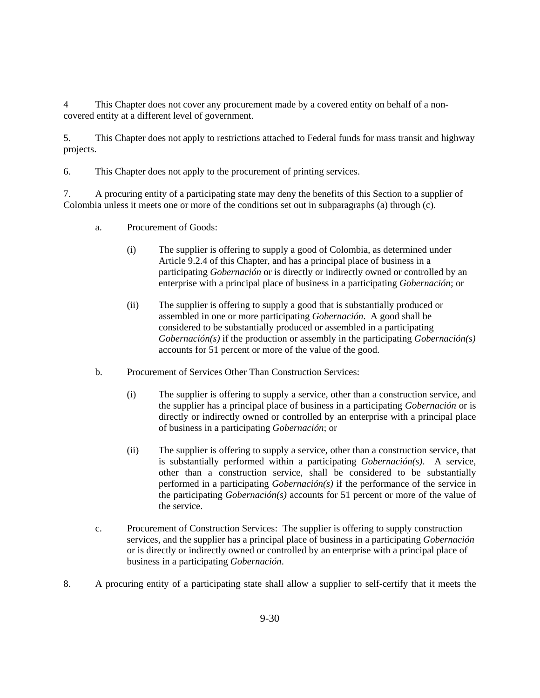4 This Chapter does not cover any procurement made by a covered entity on behalf of a noncovered entity at a different level of government.

5. This Chapter does not apply to restrictions attached to Federal funds for mass transit and highway projects.

6. This Chapter does not apply to the procurement of printing services.

7. A procuring entity of a participating state may deny the benefits of this Section to a supplier of Colombia unless it meets one or more of the conditions set out in subparagraphs (a) through (c).

- a. Procurement of Goods:
	- (i) The supplier is offering to supply a good of Colombia, as determined under Article 9.2.4 of this Chapter, and has a principal place of business in a participating *Gobernación* or is directly or indirectly owned or controlled by an enterprise with a principal place of business in a participating *Gobernación*; or
	- (ii) The supplier is offering to supply a good that is substantially produced or assembled in one or more participating *Gobernación*. A good shall be considered to be substantially produced or assembled in a participating *Gobernación(s)* if the production or assembly in the participating *Gobernación(s)* accounts for 51 percent or more of the value of the good.
- b. Procurement of Services Other Than Construction Services:
	- (i) The supplier is offering to supply a service, other than a construction service, and the supplier has a principal place of business in a participating *Gobernación* or is directly or indirectly owned or controlled by an enterprise with a principal place of business in a participating *Gobernación*; or
	- (ii) The supplier is offering to supply a service, other than a construction service, that is substantially performed within a participating *Gobernación(s)*. A service, other than a construction service, shall be considered to be substantially performed in a participating *Gobernación(s)* if the performance of the service in the participating *Gobernación(s)* accounts for 51 percent or more of the value of the service.
- c. Procurement of Construction Services: The supplier is offering to supply construction services, and the supplier has a principal place of business in a participating *Gobernación* or is directly or indirectly owned or controlled by an enterprise with a principal place of business in a participating *Gobernación*.
- 8. A procuring entity of a participating state shall allow a supplier to self-certify that it meets the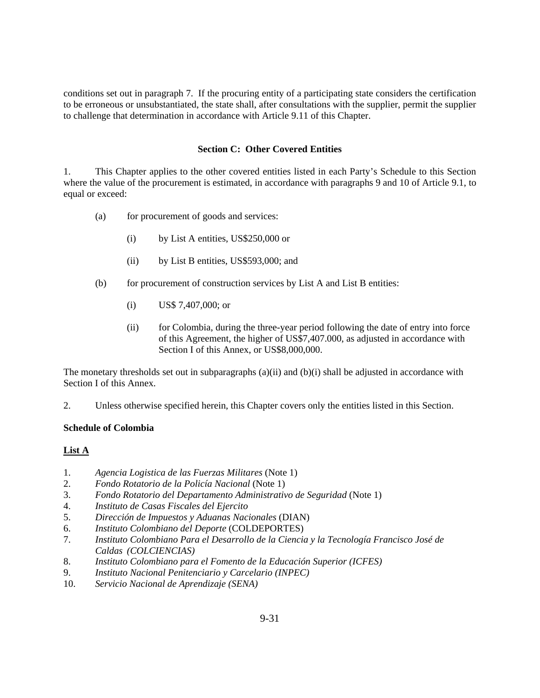conditions set out in paragraph 7. If the procuring entity of a participating state considers the certification to be erroneous or unsubstantiated, the state shall, after consultations with the supplier, permit the supplier to challenge that determination in accordance with Article 9.11 of this Chapter.

#### **Section C: Other Covered Entities**

1. This Chapter applies to the other covered entities listed in each Party's Schedule to this Section where the value of the procurement is estimated, in accordance with paragraphs 9 and 10 of Article 9.1, to equal or exceed:

- (a) for procurement of goods and services:
	- (i) by List A entities, US\$250,000 or
	- (ii) by List B entities, US\$593,000; and
- (b) for procurement of construction services by List A and List B entities:
	- (i) US\$ 7,407,000; or
	- (ii) for Colombia, during the three-year period following the date of entry into force of this Agreement, the higher of US\$7,407.000, as adjusted in accordance with Section I of this Annex, or US\$8,000,000.

The monetary thresholds set out in subparagraphs  $(a)(ii)$  and  $(b)(i)$  shall be adjusted in accordance with Section I of this Annex.

2. Unless otherwise specified herein, this Chapter covers only the entities listed in this Section.

## **Schedule of Colombia**

# **List A**

- 1. *Agencia Logistica de las Fuerzas Militares* (Note 1)
- 2. *Fondo Rotatorio de la Policía Nacional* (Note 1)
- 3. *Fondo Rotatorio del Departamento Administrativo de Seguridad* (Note 1)
- 4. *Instituto de Casas Fiscales del Ejercito*
- 5. *Dirección de Impuestos y Aduanas Nacionales* (DIAN)
- 6. *Instituto Colombiano del Deporte* (COLDEPORTES)
- 7. *Instituto Colombiano Para el Desarrollo de la Ciencia y la Tecnología Francisco José de Caldas (COLCIENCIAS)*
- 8. *Instituto Colombiano para el Fomento de la Educación Superior (ICFES)*
- 9. *Instituto Nacional Penitenciario y Carcelario (INPEC)*
- 10. *Servicio Nacional de Aprendizaje (SENA)*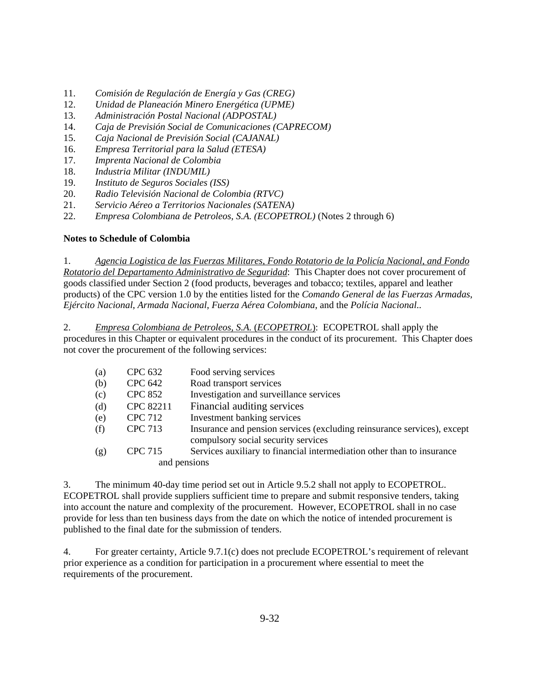- 11. *Comisión de Regulación de Energía y Gas (CREG)*
- 12. *Unidad de Planeación Minero Energética (UPME)*
- 13. *Administración Postal Nacional (ADPOSTAL)*
- 14. *Caja de Previsión Social de Comunicaciones (CAPRECOM)*
- 15. *Caja Nacional de Previsión Social (CAJANAL)*
- 16. *Empresa Territorial para la Salud (ETESA)*
- 17. *Imprenta Nacional de Colombia*
- 18. *Industria Militar (INDUMIL)*
- 19. *Instituto de Seguros Sociales (ISS)*
- 20. *Radio Televisión Nacional de Colombia (RTVC)*
- 21. *Servicio Aéreo a Territorios Nacionales (SATENA)*
- 22. *Empresa Colombiana de Petroleos, S.A. (ECOPETROL)* (Notes 2 through 6)

## **Notes to Schedule of Colombia**

1. *Agencia Logistica de las Fuerzas Militares, Fondo Rotatorio de la Policía Nacional, and Fondo Rotatorio del Departamento Administrativo de Seguridad*: This Chapter does not cover procurement of goods classified under Section 2 (food products, beverages and tobacco; textiles, apparel and leather products) of the CPC version 1.0 by the entities listed for the *Comando General de las Fuerzas Armadas*, *Ejército Nacional*, *Armada Nacional*, *Fuerza Aérea Colombiana*, and the *Polícia Nacional*..

2. *Empresa Colombiana de Petroleos, S.A.* (*ECOPETROL*): ECOPETROL shall apply the procedures in this Chapter or equivalent procedures in the conduct of its procurement. This Chapter does not cover the procurement of the following services:

| (a) | <b>CPC 632</b> | Food serving services                                                                                          |
|-----|----------------|----------------------------------------------------------------------------------------------------------------|
| (b) | <b>CPC 642</b> | Road transport services                                                                                        |
| (c) | <b>CPC 852</b> | Investigation and surveillance services                                                                        |
| (d) | CPC 82211      | Financial auditing services                                                                                    |
| (e) | <b>CPC 712</b> | Investment banking services                                                                                    |
| (f) | CPC 713        | Insurance and pension services (excluding reinsurance services), except<br>compulsory social security services |
| (g) | <b>CPC 715</b> | Services auxiliary to financial intermediation other than to insurance                                         |
|     | and pensions   |                                                                                                                |

3. The minimum 40-day time period set out in Article 9.5.2 shall not apply to ECOPETROL. ECOPETROL shall provide suppliers sufficient time to prepare and submit responsive tenders, taking into account the nature and complexity of the procurement. However, ECOPETROL shall in no case provide for less than ten business days from the date on which the notice of intended procurement is published to the final date for the submission of tenders.

4. For greater certainty, Article 9.7.1(c) does not preclude ECOPETROL's requirement of relevant prior experience as a condition for participation in a procurement where essential to meet the requirements of the procurement.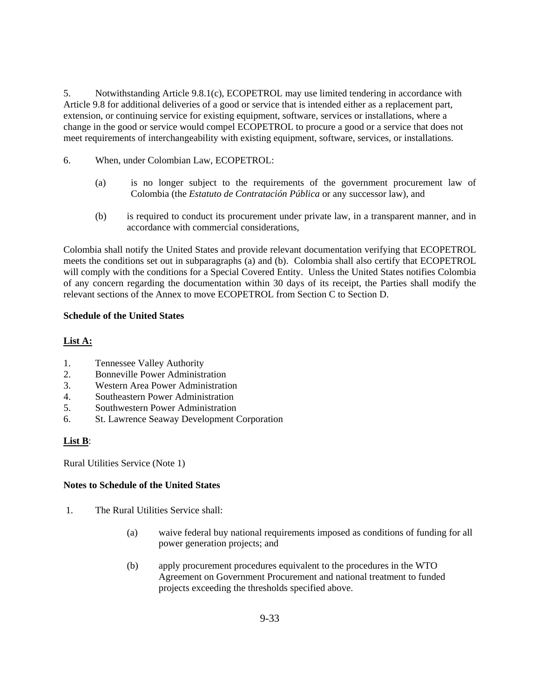5. Notwithstanding Article 9.8.1(c), ECOPETROL may use limited tendering in accordance with Article 9.8 for additional deliveries of a good or service that is intended either as a replacement part, extension, or continuing service for existing equipment, software, services or installations, where a change in the good or service would compel ECOPETROL to procure a good or a service that does not meet requirements of interchangeability with existing equipment, software, services, or installations.

- 6. When, under Colombian Law, ECOPETROL:
	- (a) is no longer subject to the requirements of the government procurement law of Colombia (the *Estatuto de Contratación Pública* or any successor law), and
	- (b) is required to conduct its procurement under private law, in a transparent manner, and in accordance with commercial considerations,

Colombia shall notify the United States and provide relevant documentation verifying that ECOPETROL meets the conditions set out in subparagraphs (a) and (b). Colombia shall also certify that ECOPETROL will comply with the conditions for a Special Covered Entity. Unless the United States notifies Colombia of any concern regarding the documentation within 30 days of its receipt, the Parties shall modify the relevant sections of the Annex to move ECOPETROL from Section C to Section D.

## **Schedule of the United States**

# **List A:**

- 1. Tennessee Valley Authority
- 2. Bonneville Power Administration
- 3. Western Area Power Administration
- 4. Southeastern Power Administration
- 5. Southwestern Power Administration
- 6. St. Lawrence Seaway Development Corporation

# **List B**:

Rural Utilities Service (Note 1)

## **Notes to Schedule of the United States**

- 1. The Rural Utilities Service shall:
	- (a) waive federal buy national requirements imposed as conditions of funding for all power generation projects; and
	- (b) apply procurement procedures equivalent to the procedures in the WTO Agreement on Government Procurement and national treatment to funded projects exceeding the thresholds specified above.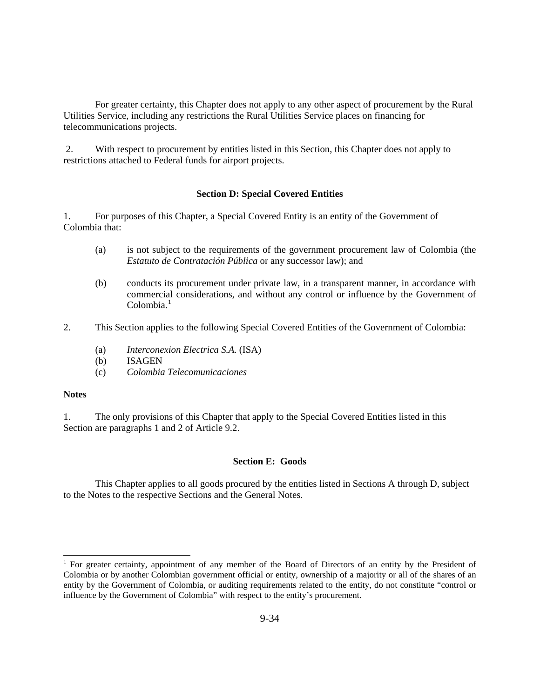For greater certainty, this Chapter does not apply to any other aspect of procurement by the Rural Utilities Service, including any restrictions the Rural Utilities Service places on financing for telecommunications projects.

 2. With respect to procurement by entities listed in this Section, this Chapter does not apply to restrictions attached to Federal funds for airport projects.

#### **Section D: Special Covered Entities**

1. For purposes of this Chapter, a Special Covered Entity is an entity of the Government of Colombia that:

- (a) is not subject to the requirements of the government procurement law of Colombia (the *Estatuto de Contratación Pública* or any successor law); and
- (b) conducts its procurement under private law, in a transparent manner, in accordance with commercial considerations, and without any control or influence by the Government of  $Colombia.<sup>1</sup>$  $Colombia.<sup>1</sup>$  $Colombia.<sup>1</sup>$
- 2. This Section applies to the following Special Covered Entities of the Government of Colombia:
	- (a) *Interconexion Electrica S.A.* (ISA)
	- (b) ISAGEN
	- (c) *Colombia Telecomunicaciones*

## **Notes**

 $\overline{\phantom{a}}$ 

1. The only provisions of this Chapter that apply to the Special Covered Entities listed in this Section are paragraphs 1 and 2 of Article 9.2.

#### **Section E: Goods**

 This Chapter applies to all goods procured by the entities listed in Sections A through D, subject to the Notes to the respective Sections and the General Notes.

<span id="page-14-0"></span><sup>&</sup>lt;sup>1</sup> For greater certainty, appointment of any member of the Board of Directors of an entity by the President of Colombia or by another Colombian government official or entity, ownership of a majority or all of the shares of an entity by the Government of Colombia, or auditing requirements related to the entity, do not constitute "control or influence by the Government of Colombia" with respect to the entity's procurement.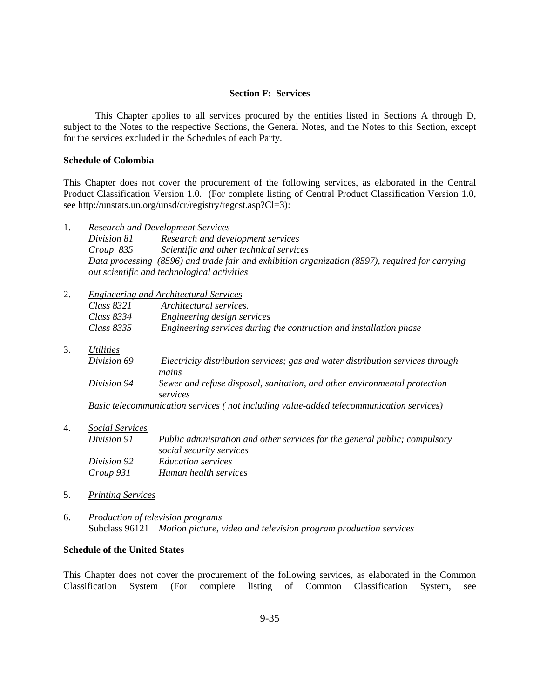#### **Section F: Services**

 This Chapter applies to all services procured by the entities listed in Sections A through D, subject to the Notes to the respective Sections, the General Notes, and the Notes to this Section, except for the services excluded in the Schedules of each Party.

#### **Schedule of Colombia**

This Chapter does not cover the procurement of the following services, as elaborated in the Central Product Classification Version 1.0. (For complete listing of Central Product Classification Version 1.0, see http://unstats.un.org/unsd/cr/registry/regcst.asp?Cl=3):

1. *Research and Development Services*

*Division 81 Research and development services Group 835 Scientific and other technical services Data processing (8596) and trade fair and exhibition organization (8597), required for carrying out scientific and technological activities* 

- 2. *Engineering and Architectural Services Class 8321 Architectural services. Class 8334 Engineering design services Class 8335 Engineering services during the contruction and installation phase*
- 3. *Utilities*
	- *Division 69 Electricity distribution services; gas and water distribution services through mains Division 94 Sewer and refuse disposal, sanitation, and other environmental protection services*

*Basic telecommunication services ( not including value-added telecommunication services)* 

4. *Social Services*

*Division 91 Public admnistration and other services for the general public; compulsory social security services Division 92 Education services Group 931 Human health services* 

- 5. *Printing Services*
- 6. *Production of television programs* Subclass 96121 *Motion picture, video and television program production services*

## **Schedule of the United States**

This Chapter does not cover the procurement of the following services, as elaborated in the Common Classification System (For complete listing of Common Classification System, see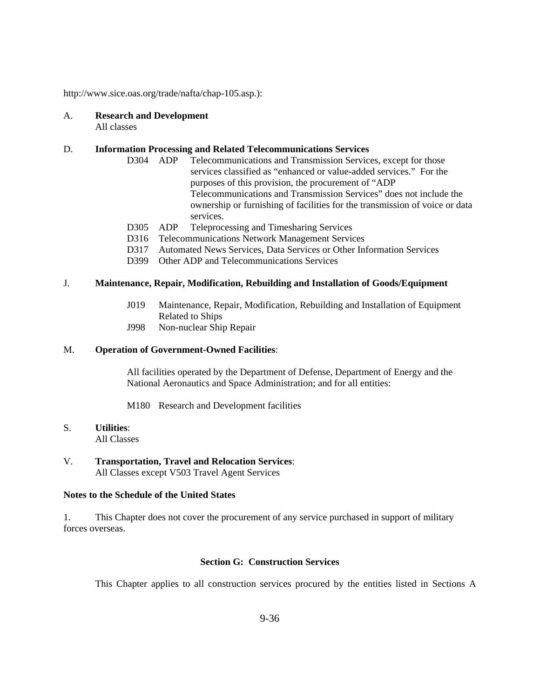http://www.sice.oas.org/trade/nafta/chap-105.asp.):

# A. **Research and Development**

All classes

## D. **Information Processing and Related Telecommunications Services**

- D304 ADP Telecommunications and Transmission Services, except for those services classified as "enhanced or value-added services." For the purposes of this provision, the procurement of "ADP Telecommunications and Transmission Services" does not include the ownership or furnishing of facilities for the transmission of voice or data services.
- D305 ADP Teleprocessing and Timesharing Services
- D316 Telecommunications Network Management Services
- D317 Automated News Services, Data Services or Other Information Services
- D399 Other ADP and Telecommunications Services

# J. **Maintenance, Repair, Modification, Rebuilding and Installation of Goods/Equipment**

- J019 Maintenance, Repair, Modification, Rebuilding and Installation of Equipment Related to Ships
- J998 Non-nuclear Ship Repair

## M. **Operation of Government-Owned Facilities**:

 All facilities operated by the Department of Defense, Department of Energy and the National Aeronautics and Space Administration; and for all entities:

M180 Research and Development facilities

# S. **Utilities**:

All Classes

## V. **Transportation, Travel and Relocation Services**: All Classes except V503 Travel Agent Services

## **Notes to the Schedule of the United States**

1. This Chapter does not cover the procurement of any service purchased in support of military forces overseas.

# **Section G: Construction Services**

This Chapter applies to all construction services procured by the entities listed in Sections A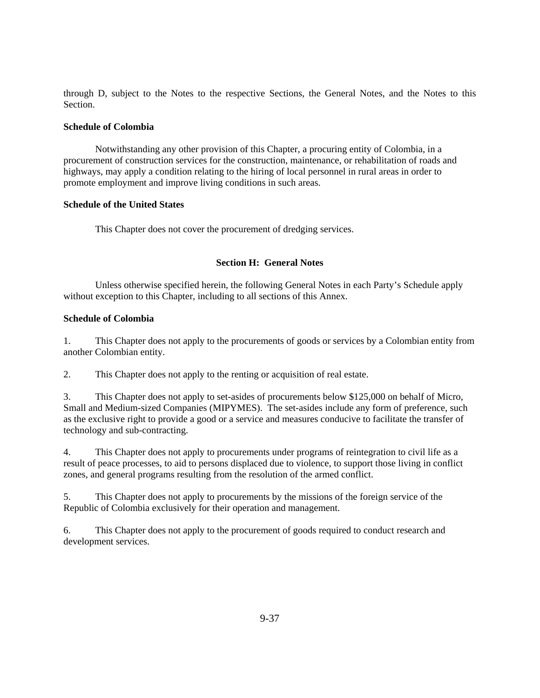through D, subject to the Notes to the respective Sections, the General Notes, and the Notes to this Section.

#### **Schedule of Colombia**

 Notwithstanding any other provision of this Chapter, a procuring entity of Colombia, in a procurement of construction services for the construction, maintenance, or rehabilitation of roads and highways, may apply a condition relating to the hiring of local personnel in rural areas in order to promote employment and improve living conditions in such areas.

#### **Schedule of the United States**

This Chapter does not cover the procurement of dredging services.

## **Section H: General Notes**

 Unless otherwise specified herein, the following General Notes in each Party's Schedule apply without exception to this Chapter, including to all sections of this Annex.

## **Schedule of Colombia**

1. This Chapter does not apply to the procurements of goods or services by a Colombian entity from another Colombian entity.

2. This Chapter does not apply to the renting or acquisition of real estate.

3. This Chapter does not apply to set-asides of procurements below \$125,000 on behalf of Micro, Small and Medium-sized Companies (MIPYMES). The set-asides include any form of preference, such as the exclusive right to provide a good or a service and measures conducive to facilitate the transfer of technology and sub-contracting.

4. This Chapter does not apply to procurements under programs of reintegration to civil life as a result of peace processes, to aid to persons displaced due to violence, to support those living in conflict zones, and general programs resulting from the resolution of the armed conflict.

5. This Chapter does not apply to procurements by the missions of the foreign service of the Republic of Colombia exclusively for their operation and management.

6. This Chapter does not apply to the procurement of goods required to conduct research and development services.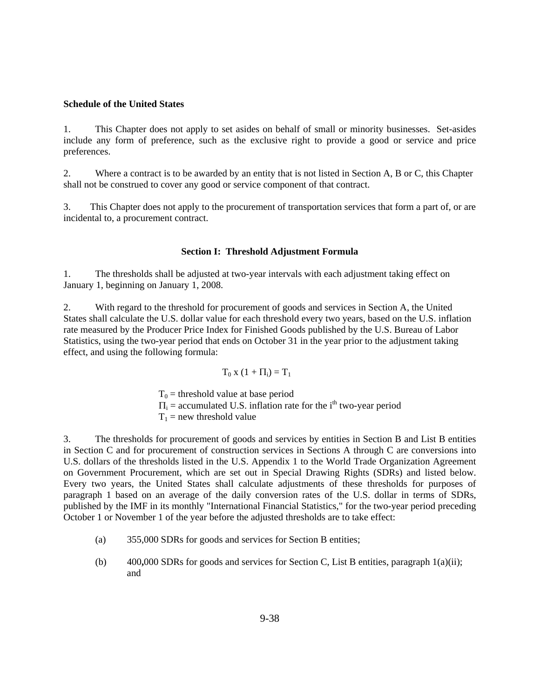#### **Schedule of the United States**

1. This Chapter does not apply to set asides on behalf of small or minority businesses. Set-asides include any form of preference, such as the exclusive right to provide a good or service and price preferences.

2. Where a contract is to be awarded by an entity that is not listed in Section A, B or C, this Chapter shall not be construed to cover any good or service component of that contract.

3. This Chapter does not apply to the procurement of transportation services that form a part of, or are incidental to, a procurement contract.

#### **Section I: Threshold Adjustment Formula**

1. The thresholds shall be adjusted at two-year intervals with each adjustment taking effect on January 1, beginning on January 1, 2008.

2. With regard to the threshold for procurement of goods and services in Section A, the United States shall calculate the U.S. dollar value for each threshold every two years, based on the U.S. inflation rate measured by the Producer Price Index for Finished Goods published by the U.S. Bureau of Labor Statistics, using the two-year period that ends on October 31 in the year prior to the adjustment taking effect, and using the following formula:

$$
T_0 x (1 + \Pi_i) = T_1
$$

 $T_0$  = threshold value at base period  $\Pi_i$  = accumulated U.S. inflation rate for the i<sup>th</sup> two-year period  $T_1$  = new threshold value

3. The thresholds for procurement of goods and services by entities in Section B and List B entities in Section C and for procurement of construction services in Sections A through C are conversions into U.S. dollars of the thresholds listed in the U.S. Appendix 1 to the World Trade Organization Agreement on Government Procurement, which are set out in Special Drawing Rights (SDRs) and listed below. Every two years, the United States shall calculate adjustments of these thresholds for purposes of paragraph 1 based on an average of the daily conversion rates of the U.S. dollar in terms of SDRs, published by the IMF in its monthly "International Financial Statistics," for the two-year period preceding October 1 or November 1 of the year before the adjusted thresholds are to take effect:

- (a) 355,000 SDRs for goods and services for Section B entities;
- (b) 400**,**000 SDRs for goods and services for Section C, List B entities, paragraph 1(a)(ii); and